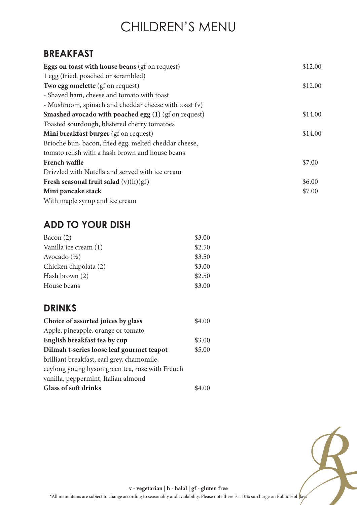# CHILDREN'S MENU

#### **BREAKFAST**

| <b>Eggs on toast with house beans (gf on request)</b> | \$12.00 |
|-------------------------------------------------------|---------|
| 1 egg (fried, poached or scrambled)                   |         |
| Two egg omelette (gf on request)                      | \$12.00 |
| - Shaved ham, cheese and tomato with toast            |         |
| - Mushroom, spinach and cheddar cheese with toast (v) |         |
| Smashed avocado with poached egg (1) (gf on request)  | \$14.00 |
| Toasted sourdough, blistered cherry tomatoes          |         |
| Mini breakfast burger (gf on request)                 | \$14.00 |
| Brioche bun, bacon, fried egg, melted cheddar cheese, |         |
| tomato relish with a hash brown and house beans       |         |
| French waffle                                         | \$7.00  |
| Drizzled with Nutella and served with ice cream       |         |
| Fresh seasonal fruit salad $(v)(h)(gf)$               | \$6.00  |
| Mini pancake stack                                    | \$7.00  |
| With maple syrup and ice cream                        |         |

## **ADD TO YOUR DISH**

| Bacon $(2)$             | \$3.00 |
|-------------------------|--------|
| Vanilla ice cream (1)   | \$2.50 |
| Avocado $(\frac{1}{2})$ | \$3.50 |
| Chicken chipolata (2)   | \$3.00 |
| Hash brown (2)          | \$2.50 |
| House beans             | \$3.00 |

## **DRINKS**

| Choice of assorted juices by glass              | \$4.00 |
|-------------------------------------------------|--------|
| Apple, pineapple, orange or tomato              |        |
| English breakfast tea by cup                    | \$3.00 |
| Dilmah t-series loose leaf gourmet teapot       | \$5.00 |
| brilliant breakfast, earl grey, chamomile,      |        |
| ceylong young hyson green tea, rose with French |        |
| vanilla, peppermint, Italian almond             |        |
| <b>Glass of soft drinks</b>                     | \$4.00 |



**v - vegetarian | h - halal | gf - gluten free**

\*All menu items are subject to change according to seasonality and availability. Please note there is a 10% surcharge on Public Holi $\frac{h}{k}$ ays